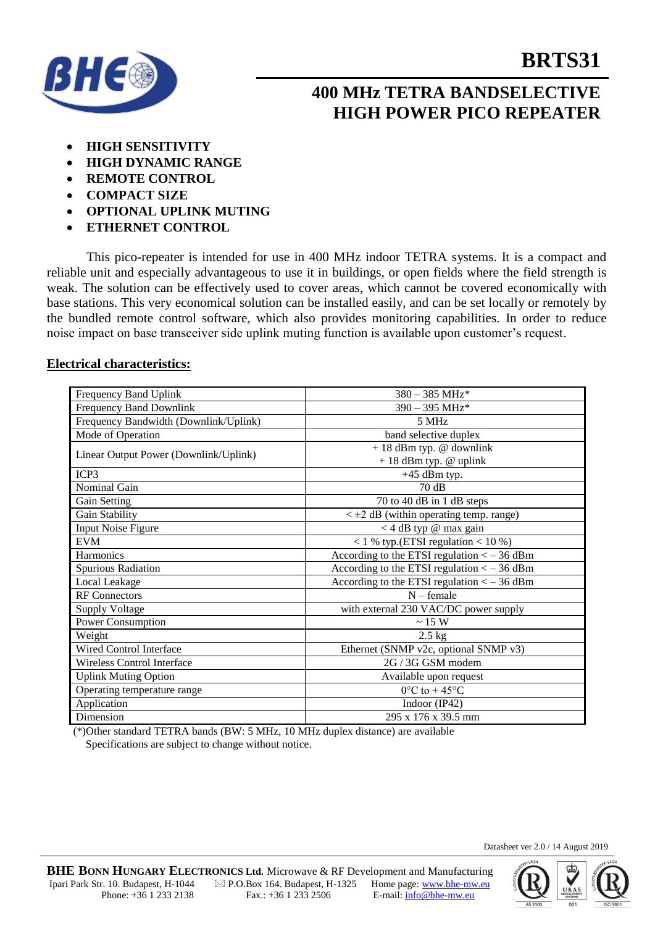

## **400 MHz TETRA BANDSELECTIVE HIGH POWER PICO REPEATER**

- **HIGH SENSITIVITY**
- **HIGH DYNAMIC RANGE**
- **REMOTE CONTROL**
- **COMPACT SIZE**
- **OPTIONAL UPLINK MUTING**
- **ETHERNET CONTROL**

This pico-repeater is intended for use in 400 MHz indoor TETRA systems. It is a compact and reliable unit and especially advantageous to use it in buildings, or open fields where the field strength is weak. The solution can be effectively used to cover areas, which cannot be covered economically with base stations. This very economical solution can be installed easily, and can be set locally or remotely by the bundled remote control software, which also provides monitoring capabilities. In order to reduce noise impact on base transceiver side uplink muting function is available upon customer's request.

#### **Electrical characteristics:**

| Frequency Band Uplink                 | $380 - 385$ MHz*                                     |
|---------------------------------------|------------------------------------------------------|
| <b>Frequency Band Downlink</b>        | 390 - 395 MHz*                                       |
| Frequency Bandwidth (Downlink/Uplink) | 5 MHz                                                |
| Mode of Operation                     | band selective duplex                                |
| Linear Output Power (Downlink/Uplink) | $+18$ dBm typ. @ downlink<br>$+18$ dBm typ. @ uplink |
| ICP3                                  | $+45$ dBm typ.                                       |
| Nominal Gain                          | 70dB                                                 |
| Gain Setting                          | $\overline{70}$ to 40 dB in 1 dB steps               |
| Gain Stability                        | $\lt \pm 2$ dB (within operating temp. range)        |
| <b>Input Noise Figure</b>             | <4 dB typ @ max gain                                 |
| <b>EVM</b>                            | $<$ 1 % typ.(ETSI regulation $<$ 10 %)               |
| Harmonics                             | According to the ETSI regulation $<-36$ dBm          |
| Spurious Radiation                    | According to the ETSI regulation $<-36$ dBm          |
| Local Leakage                         | According to the ETSI regulation $<-36$ dBm          |
| <b>RF</b> Connectors                  | $N$ – female                                         |
| <b>Supply Voltage</b>                 | with external 230 VAC/DC power supply                |
| Power Consumption                     | $\sim 15~\mathrm{W}$                                 |
| Weight                                | $2.5$ kg                                             |
| Wired Control Interface               | Ethernet (SNMP v2c, optional SNMP v3)                |
| Wireless Control Interface            | 2G / 3G GSM modem                                    |
| <b>Uplink Muting Option</b>           | Available upon request                               |
| Operating temperature range           | $0^{\circ}$ C to + 45 $^{\circ}$ C                   |
| Application                           | Indoor (IP42)                                        |
| Dimension                             | 295 x 176 x 39.5 mm                                  |

(\*)Other standard TETRA bands (BW: 5 MHz, 10 MHz duplex distance) are available Specifications are subject to change without notice.